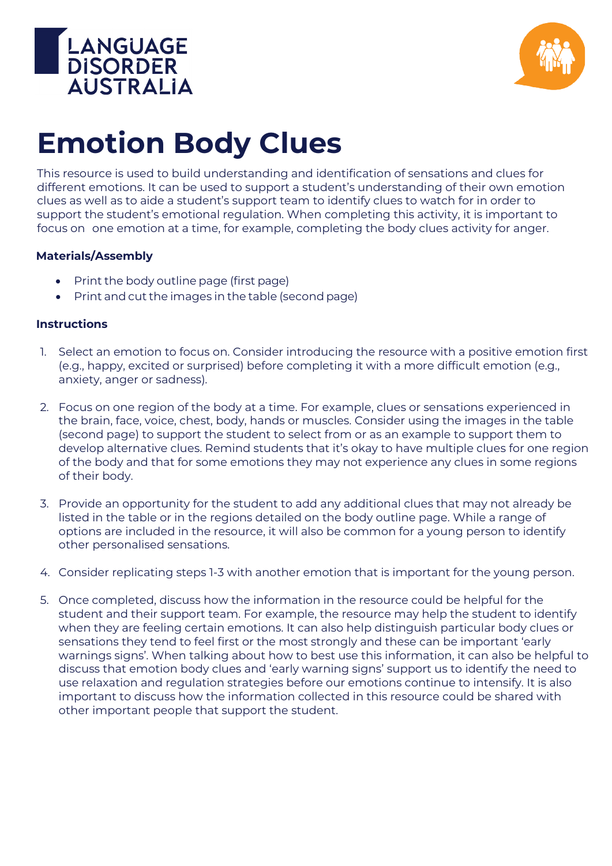



## **Emotion Body Clues**

This resource is used to build understanding and identification of sensations and clues for different emotions. It can be used to support a student's understanding of their own emotion clues as well as to aide a student's support team to identify clues to watch for in order to support the student's emotional regulation. When completing this activity, it is important to focus on one emotion at a time, for example, completing the body clues activity for anger.

## **Materials/Assembly**

- Print the body outline page (first page)
- Print and cut the images in the table (second page)

## **Instructions**

- 1. Select an emotion to focus on. Consider introducing the resource with a positive emotion first (e.g., happy, excited or surprised) before completing it with a more difficult emotion (e.g., anxiety, anger or sadness).
- 2. Focus on one region of the body at a time. For example, clues or sensations experienced in the brain, face, voice, chest, body, hands or muscles. Consider using the images in the table (second page) to support the student to select from or as an example to support them to develop alternative clues. Remind students that it's okay to have multiple clues for one region of the body and that for some emotions they may not experience any clues in some regions of their body.
- 3. Provide an opportunity for the student to add any additional clues that may not already be listed in the table or in the regions detailed on the body outline page. While a range of options are included in the resource, it will also be common for a young person to identify other personalised sensations.
- 4. Consider replicating steps 1-3 with another emotion that is important for the young person.
- 5. Once completed, discuss how the information in the resource could be helpful for the student and their support team. For example, the resource may help the student to identify when they are feeling certain emotions. It can also help distinguish particular body clues or sensations they tend to feel first or the most strongly and these can be important 'early warnings signs'. When talking about how to best use this information, it can also be helpful to discuss that emotion body clues and 'early warning signs' support us to identify the need to use relaxation and regulation strategies before our emotions continue to intensify. It is also important to discuss how the information collected in this resource could be shared with other important people that support the student.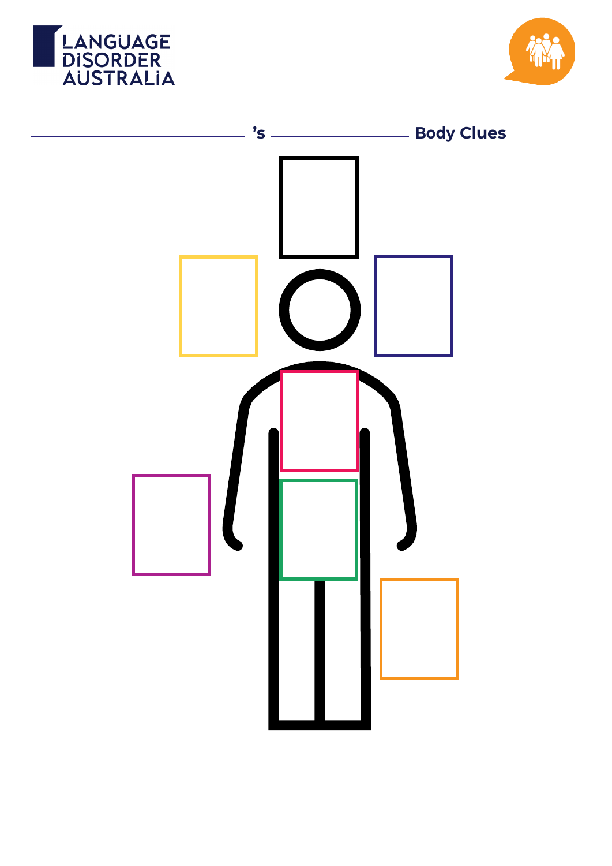